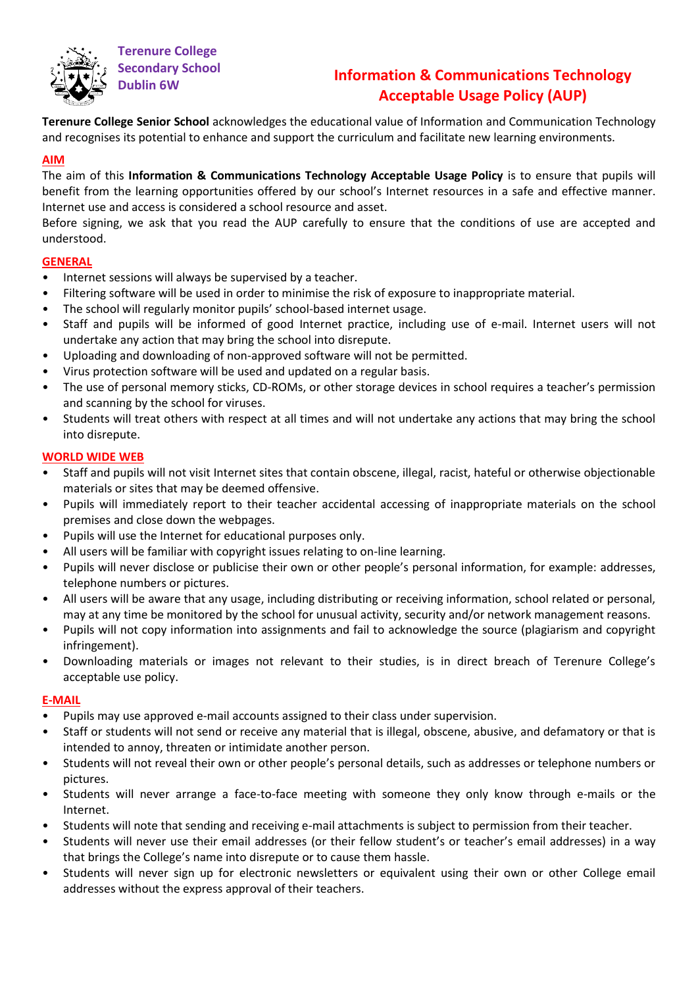

**Terenure College Secondary School**

# **Dublin 6W Information & Communications Technology Acceptable Usage Policy (AUP)**

**Terenure College Senior School** acknowledges the educational value of Information and Communication Technology and recognises its potential to enhance and support the curriculum and facilitate new learning environments.

## **AIM**

The aim of this **Information & Communications Technology Acceptable Usage Policy** is to ensure that pupils will benefit from the learning opportunities offered by our school's Internet resources in a safe and effective manner. Internet use and access is considered a school resource and asset.

Before signing, we ask that you read the AUP carefully to ensure that the conditions of use are accepted and understood.

### **GENERAL**

- Internet sessions will always be supervised by a teacher.
- Filtering software will be used in order to minimise the risk of exposure to inappropriate material.
- The school will regularly monitor pupils' school-based internet usage.
- Staff and pupils will be informed of good Internet practice, including use of e-mail. Internet users will not undertake any action that may bring the school into disrepute.
- Uploading and downloading of non-approved software will not be permitted.
- Virus protection software will be used and updated on a regular basis.
- The use of personal memory sticks, CD-ROMs, or other storage devices in school requires a teacher's permission and scanning by the school for viruses.
- Students will treat others with respect at all times and will not undertake any actions that may bring the school into disrepute.

### **WORLD WIDE WEB**

- Staff and pupils will not visit Internet sites that contain obscene, illegal, racist, hateful or otherwise objectionable materials or sites that may be deemed offensive.
- Pupils will immediately report to their teacher accidental accessing of inappropriate materials on the school premises and close down the webpages.
- Pupils will use the Internet for educational purposes only.
- All users will be familiar with copyright issues relating to on-line learning.
- Pupils will never disclose or publicise their own or other people's personal information, for example: addresses, telephone numbers or pictures.
- All users will be aware that any usage, including distributing or receiving information, school related or personal, may at any time be monitored by the school for unusual activity, security and/or network management reasons.
- Pupils will not copy information into assignments and fail to acknowledge the source (plagiarism and copyright infringement).
- Downloading materials or images not relevant to their studies, is in direct breach of Terenure College's acceptable use policy.

#### **E-MAIL**

- Pupils may use approved e-mail accounts assigned to their class under supervision.
- Staff or students will not send or receive any material that is illegal, obscene, abusive, and defamatory or that is intended to annoy, threaten or intimidate another person.
- Students will not reveal their own or other people's personal details, such as addresses or telephone numbers or pictures.
- Students will never arrange a face-to-face meeting with someone they only know through e-mails or the Internet.
- Students will note that sending and receiving e-mail attachments is subject to permission from their teacher.
- Students will never use their email addresses (or their fellow student's or teacher's email addresses) in a way that brings the College's name into disrepute or to cause them hassle.
- Students will never sign up for electronic newsletters or equivalent using their own or other College email addresses without the express approval of their teachers.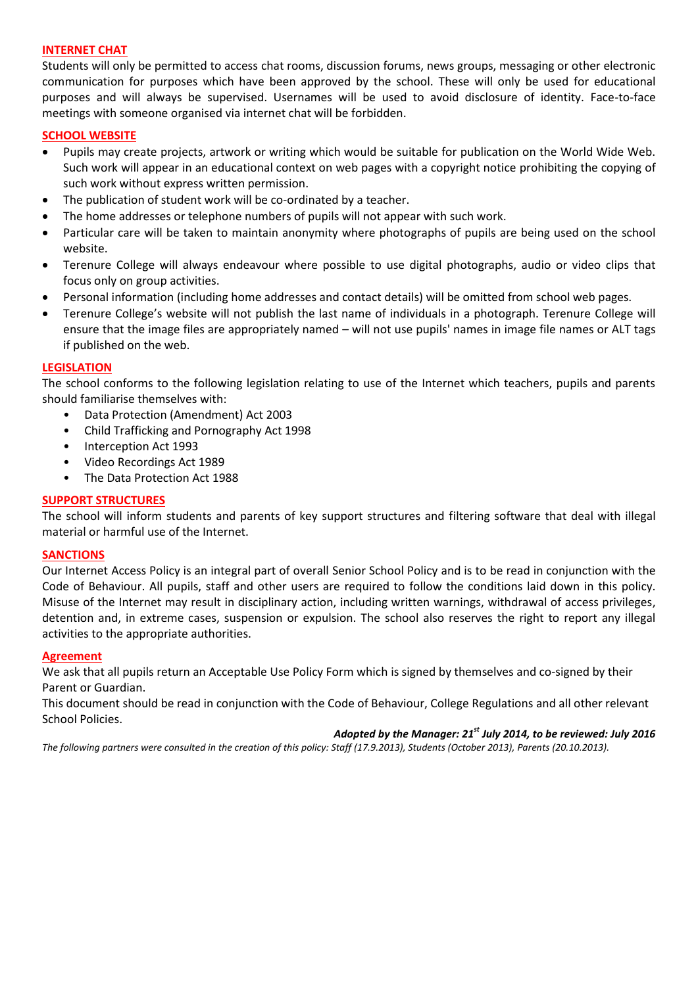#### **INTERNET CHAT**

Students will only be permitted to access chat rooms, discussion forums, news groups, messaging or other electronic communication for purposes which have been approved by the school. These will only be used for educational purposes and will always be supervised. Usernames will be used to avoid disclosure of identity. Face-to-face meetings with someone organised via internet chat will be forbidden.

#### **SCHOOL WEBSITE**

- Pupils may create projects, artwork or writing which would be suitable for publication on the World Wide Web. Such work will appear in an educational context on web pages with a copyright notice prohibiting the copying of such work without express written permission.
- The publication of student work will be co-ordinated by a teacher.
- The home addresses or telephone numbers of pupils will not appear with such work.
- Particular care will be taken to maintain anonymity where photographs of pupils are being used on the school website.
- Terenure College will always endeavour where possible to use digital photographs, audio or video clips that focus only on group activities.
- Personal information (including home addresses and contact details) will be omitted from school web pages.
- Terenure College's website will not publish the last name of individuals in a photograph. Terenure College will ensure that the image files are appropriately named – will not use pupils' names in image file names or ALT tags if published on the web.

#### **LEGISLATION**

The school conforms to the following legislation relating to use of the Internet which teachers, pupils and parents should familiarise themselves with:

- Data Protection (Amendment) Act 2003
- Child Trafficking and Pornography Act 1998
- Interception Act 1993
- Video Recordings Act 1989
- The Data Protection Act 1988

#### **SUPPORT STRUCTURES**

The school will inform students and parents of key support structures and filtering software that deal with illegal material or harmful use of the Internet.

#### **SANCTIONS**

Our Internet Access Policy is an integral part of overall Senior School Policy and is to be read in conjunction with the Code of Behaviour. All pupils, staff and other users are required to follow the conditions laid down in this policy. Misuse of the Internet may result in disciplinary action, including written warnings, withdrawal of access privileges, detention and, in extreme cases, suspension or expulsion. The school also reserves the right to report any illegal activities to the appropriate authorities.

#### **Agreement**

We ask that all pupils return an Acceptable Use Policy Form which is signed by themselves and co-signed by their Parent or Guardian.

This document should be read in conjunction with the Code of Behaviour, College Regulations and all other relevant School Policies.

#### *Adopted by the Manager: 21st July 2014, to be reviewed: July 2016*

*The following partners were consulted in the creation of this policy: Staff (17.9.2013), Students (October 2013), Parents (20.10.2013).*